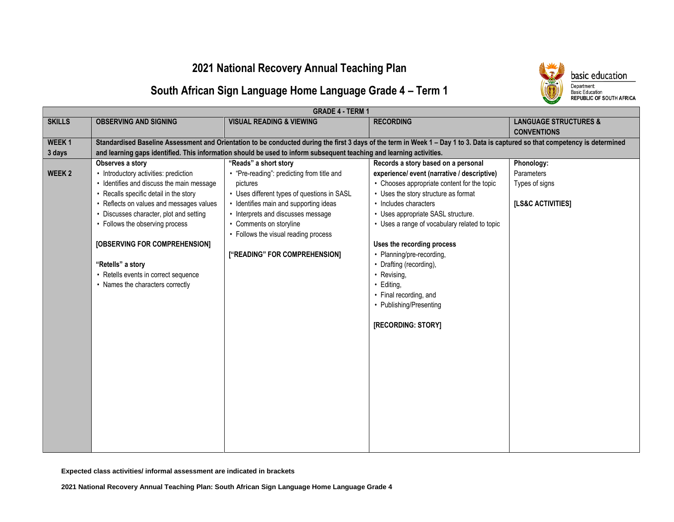### **2021 National Recovery Annual Teaching Plan**



# **South African Sign Language Home Language Grade 4 – Term 1**

|                   | <b>GRADE 4 - TERM 1</b>                   |                                                                                                                                                                                |                                               |                                                        |
|-------------------|-------------------------------------------|--------------------------------------------------------------------------------------------------------------------------------------------------------------------------------|-----------------------------------------------|--------------------------------------------------------|
| <b>SKILLS</b>     | <b>OBSERVING AND SIGNING</b>              | <b>VISUAL READING &amp; VIEWING</b>                                                                                                                                            | <b>RECORDING</b>                              | <b>LANGUAGE STRUCTURES &amp;</b><br><b>CONVENTIONS</b> |
| WEEK <sub>1</sub> |                                           | Standardised Baseline Assessment and Orientation to be conducted during the first 3 days of the term in Week 1 - Day 1 to 3. Data is captured so that competency is determined |                                               |                                                        |
| 3 days            |                                           | and learning gaps identified. This information should be used to inform subsequent teaching and learning activities.                                                           |                                               |                                                        |
|                   | Observes a story                          | "Reads" a short story                                                                                                                                                          | Records a story based on a personal           | Phonology:                                             |
| WEEK <sub>2</sub> | • Introductory activities: prediction     | • "Pre-reading": predicting from title and                                                                                                                                     | experience/ event (narrative / descriptive)   | Parameters                                             |
|                   | • Identifies and discuss the main message | pictures                                                                                                                                                                       | • Chooses appropriate content for the topic   | Types of signs                                         |
|                   | • Recalls specific detail in the story    | • Uses different types of questions in SASL                                                                                                                                    | • Uses the story structure as format          |                                                        |
|                   | • Reflects on values and messages values  | • Identifies main and supporting ideas                                                                                                                                         | • Includes characters                         | [LS&C ACTIVITIES]                                      |
|                   | • Discusses character, plot and setting   | • Interprets and discusses message                                                                                                                                             | • Uses appropriate SASL structure.            |                                                        |
|                   | • Follows the observing process           | • Comments on storyline                                                                                                                                                        | • Uses a range of vocabulary related to topic |                                                        |
|                   |                                           | • Follows the visual reading process                                                                                                                                           |                                               |                                                        |
|                   | [OBSERVING FOR COMPREHENSION]             |                                                                                                                                                                                | Uses the recording process                    |                                                        |
|                   |                                           | ["READING" FOR COMPREHENSION]                                                                                                                                                  | • Planning/pre-recording,                     |                                                        |
|                   | "Retells" a story                         |                                                                                                                                                                                | • Drafting (recording),                       |                                                        |
|                   | • Retells events in correct sequence      |                                                                                                                                                                                | • Revising,                                   |                                                        |
|                   | • Names the characters correctly          |                                                                                                                                                                                | · Editing,                                    |                                                        |
|                   |                                           |                                                                                                                                                                                | • Final recording, and                        |                                                        |
|                   |                                           |                                                                                                                                                                                | • Publishing/Presenting                       |                                                        |
|                   |                                           |                                                                                                                                                                                | [RECORDING: STORY]                            |                                                        |
|                   |                                           |                                                                                                                                                                                |                                               |                                                        |
|                   |                                           |                                                                                                                                                                                |                                               |                                                        |
|                   |                                           |                                                                                                                                                                                |                                               |                                                        |
|                   |                                           |                                                                                                                                                                                |                                               |                                                        |
|                   |                                           |                                                                                                                                                                                |                                               |                                                        |
|                   |                                           |                                                                                                                                                                                |                                               |                                                        |
|                   |                                           |                                                                                                                                                                                |                                               |                                                        |
|                   |                                           |                                                                                                                                                                                |                                               |                                                        |
|                   |                                           |                                                                                                                                                                                |                                               |                                                        |
|                   |                                           |                                                                                                                                                                                |                                               |                                                        |
|                   |                                           |                                                                                                                                                                                |                                               |                                                        |
|                   |                                           |                                                                                                                                                                                |                                               |                                                        |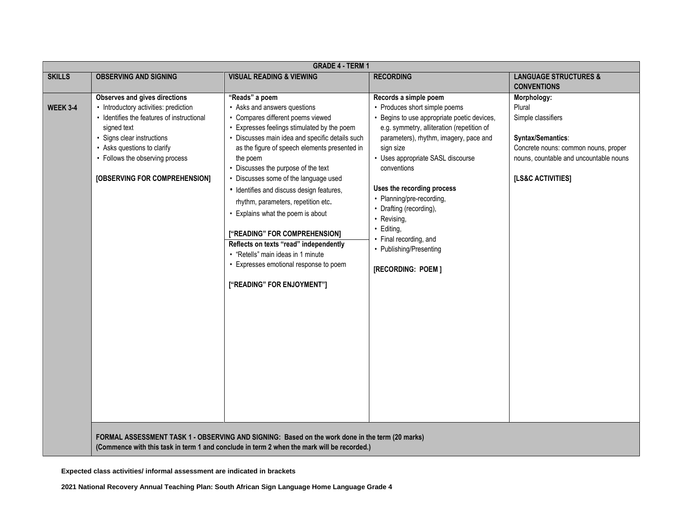|                 | <b>GRADE 4 - TERM 1</b>                    |                                                                                                 |                                            |                                        |
|-----------------|--------------------------------------------|-------------------------------------------------------------------------------------------------|--------------------------------------------|----------------------------------------|
| <b>SKILLS</b>   | <b>OBSERVING AND SIGNING</b>               | <b>VISUAL READING &amp; VIEWING</b>                                                             | <b>RECORDING</b>                           | <b>LANGUAGE STRUCTURES &amp;</b>       |
|                 |                                            |                                                                                                 |                                            | <b>CONVENTIONS</b>                     |
|                 | <b>Observes and gives directions</b>       | "Reads" a poem                                                                                  | Records a simple poem                      | Morphology:                            |
| <b>WEEK 3-4</b> | • Introductory activities: prediction      | • Asks and answers questions                                                                    | • Produces short simple poems              | Plural                                 |
|                 | • Identifies the features of instructional | • Compares different poems viewed                                                               | Begins to use appropriate poetic devices,  | Simple classifiers                     |
|                 | signed text                                | • Expresses feelings stimulated by the poem                                                     | e.g. symmetry, alliteration (repetition of |                                        |
|                 | · Signs clear instructions                 | • Discusses main idea and specific details such                                                 | parameters), rhythm, imagery, pace and     | Syntax/Semantics:                      |
|                 | • Asks questions to clarify                | as the figure of speech elements presented in                                                   | sign size                                  | Concrete nouns: common nouns, proper   |
|                 | • Follows the observing process            | the poem                                                                                        | • Uses appropriate SASL discourse          | nouns, countable and uncountable nouns |
|                 |                                            | • Discusses the purpose of the text                                                             | conventions                                |                                        |
|                 | [OBSERVING FOR COMPREHENSION]              | • Discusses some of the language used                                                           |                                            | [LS&C ACTIVITIES]                      |
|                 |                                            | • Identifies and discuss design features,                                                       | Uses the recording process                 |                                        |
|                 |                                            | rhythm, parameters, repetition etc.                                                             | • Planning/pre-recording,                  |                                        |
|                 |                                            | • Explains what the poem is about                                                               | • Drafting (recording),                    |                                        |
|                 |                                            |                                                                                                 | • Revising,                                |                                        |
|                 |                                            | ["READING" FOR COMPREHENSION]                                                                   | · Editing,                                 |                                        |
|                 |                                            | Reflects on texts "read" independently                                                          | • Final recording, and                     |                                        |
|                 |                                            | • "Retells" main ideas in 1 minute                                                              | • Publishing/Presenting                    |                                        |
|                 |                                            | • Expresses emotional response to poem                                                          |                                            |                                        |
|                 |                                            |                                                                                                 | [RECORDING: POEM]                          |                                        |
|                 |                                            | ["READING" FOR ENJOYMENT"]                                                                      |                                            |                                        |
|                 |                                            |                                                                                                 |                                            |                                        |
|                 |                                            |                                                                                                 |                                            |                                        |
|                 |                                            |                                                                                                 |                                            |                                        |
|                 |                                            |                                                                                                 |                                            |                                        |
|                 |                                            |                                                                                                 |                                            |                                        |
|                 |                                            |                                                                                                 |                                            |                                        |
|                 |                                            |                                                                                                 |                                            |                                        |
|                 |                                            |                                                                                                 |                                            |                                        |
|                 |                                            |                                                                                                 |                                            |                                        |
|                 |                                            |                                                                                                 |                                            |                                        |
|                 |                                            |                                                                                                 |                                            |                                        |
|                 |                                            |                                                                                                 |                                            |                                        |
|                 |                                            |                                                                                                 |                                            |                                        |
|                 |                                            |                                                                                                 |                                            |                                        |
|                 |                                            | FORMAL ASSESSMENT TASK 1 - OBSERVING AND SIGNING: Based on the work done in the term (20 marks) |                                            |                                        |
|                 |                                            | (Commence with this task in term 1 and conclude in term 2 when the mark will be recorded.)      |                                            |                                        |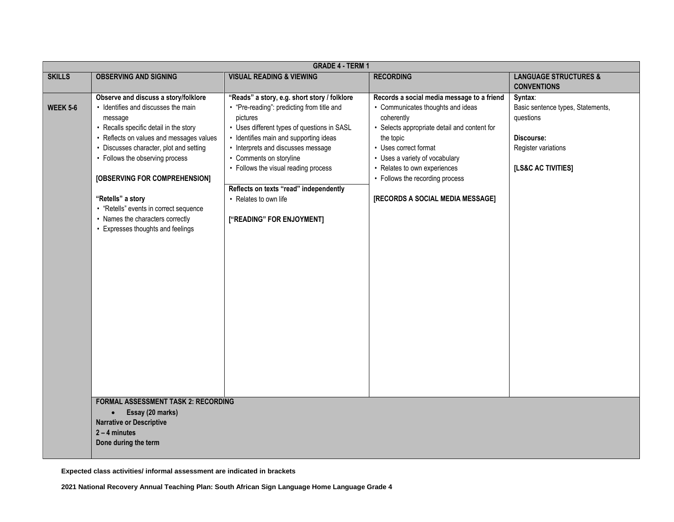|                 | <b>GRADE 4 - TERM 1</b>                                                                                                                                                                                                                                                                                                                                                                                                           |                                                                                                                                                                                                                                                                                                                                                                                                          |                                                                                                                                                                                                                                                                                                                              |                                                                                                                      |
|-----------------|-----------------------------------------------------------------------------------------------------------------------------------------------------------------------------------------------------------------------------------------------------------------------------------------------------------------------------------------------------------------------------------------------------------------------------------|----------------------------------------------------------------------------------------------------------------------------------------------------------------------------------------------------------------------------------------------------------------------------------------------------------------------------------------------------------------------------------------------------------|------------------------------------------------------------------------------------------------------------------------------------------------------------------------------------------------------------------------------------------------------------------------------------------------------------------------------|----------------------------------------------------------------------------------------------------------------------|
| <b>SKILLS</b>   | <b>OBSERVING AND SIGNING</b>                                                                                                                                                                                                                                                                                                                                                                                                      | <b>VISUAL READING &amp; VIEWING</b>                                                                                                                                                                                                                                                                                                                                                                      | <b>RECORDING</b>                                                                                                                                                                                                                                                                                                             | <b>LANGUAGE STRUCTURES &amp;</b><br><b>CONVENTIONS</b>                                                               |
| <b>WEEK 5-6</b> | Observe and discuss a story/folklore<br>• Identifies and discusses the main<br>message<br>• Recalls specific detail in the story<br>• Reflects on values and messages values<br>• Discusses character, plot and setting<br>• Follows the observing process<br>[OBSERVING FOR COMPREHENSION]<br>"Retells" a story<br>• "Retells" events in correct sequence<br>• Names the characters correctly<br>Expresses thoughts and feelings | "Reads" a story, e.g. short story / folklore<br>• "Pre-reading": predicting from title and<br>pictures<br>• Uses different types of questions in SASL<br>• Identifies main and supporting ideas<br>• Interprets and discusses message<br>• Comments on storyline<br>• Follows the visual reading process<br>Reflects on texts "read" independently<br>• Relates to own life<br>["READING" FOR ENJOYMENT] | Records a social media message to a friend<br>• Communicates thoughts and ideas<br>coherently<br>• Selects appropriate detail and content for<br>the topic<br>• Uses correct format<br>• Uses a variety of vocabulary<br>• Relates to own experiences<br>• Follows the recording process<br>[RECORDS A SOCIAL MEDIA MESSAGE] | Syntax:<br>Basic sentence types, Statements,<br>questions<br>Discourse:<br>Register variations<br>[LS&C AC TIVITIES] |
|                 | <b>FORMAL ASSESSMENT TASK 2: RECORDING</b><br>Essay (20 marks)<br>$\bullet$<br><b>Narrative or Descriptive</b><br>$2 - 4$ minutes<br>Done during the term                                                                                                                                                                                                                                                                         |                                                                                                                                                                                                                                                                                                                                                                                                          |                                                                                                                                                                                                                                                                                                                              |                                                                                                                      |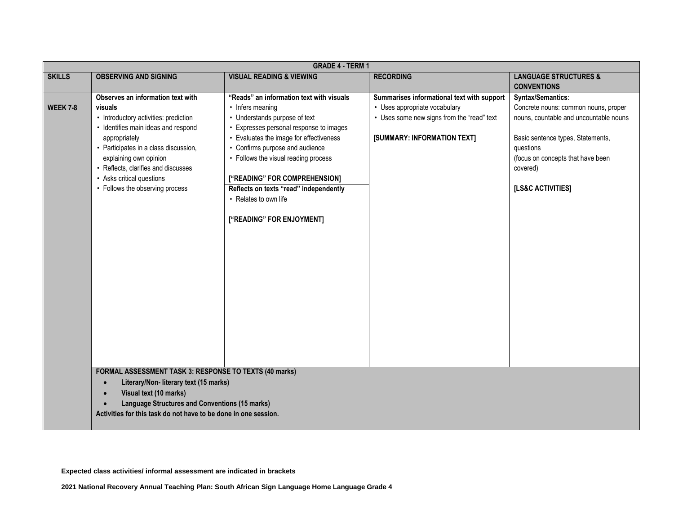|                 | <b>GRADE 4 - TERM 1</b>                                                                                 |                                                   |                                                                             |                                                                                |
|-----------------|---------------------------------------------------------------------------------------------------------|---------------------------------------------------|-----------------------------------------------------------------------------|--------------------------------------------------------------------------------|
| <b>SKILLS</b>   | <b>OBSERVING AND SIGNING</b>                                                                            | <b>VISUAL READING &amp; VIEWING</b>               | <b>RECORDING</b>                                                            | <b>LANGUAGE STRUCTURES &amp;</b><br><b>CONVENTIONS</b>                         |
|                 | Observes an information text with                                                                       | "Reads" an information text with visuals          | Summarises informational text with support                                  | Syntax/Semantics:                                                              |
| <b>WEEK 7-8</b> | visuals<br>• Introductory activities: prediction                                                        | • Infers meaning<br>• Understands purpose of text | • Uses appropriate vocabulary<br>• Uses some new signs from the "read" text | Concrete nouns: common nouns, proper<br>nouns, countable and uncountable nouns |
|                 | · Identifies main ideas and respond                                                                     | Expresses personal response to images             |                                                                             |                                                                                |
|                 | appropriately                                                                                           | Evaluates the image for effectiveness             | [SUMMARY: INFORMATION TEXT]                                                 | Basic sentence types, Statements,                                              |
|                 | • Participates in a class discussion,                                                                   | • Confirms purpose and audience                   |                                                                             | questions                                                                      |
|                 | explaining own opinion<br>• Reflects, clarifies and discusses                                           | • Follows the visual reading process              |                                                                             | (focus on concepts that have been<br>covered)                                  |
|                 | • Asks critical questions                                                                               | ["READING" FOR COMPREHENSION]                     |                                                                             |                                                                                |
|                 | • Follows the observing process                                                                         | Reflects on texts "read" independently            |                                                                             | [LS&C ACTIVITIES]                                                              |
|                 |                                                                                                         | • Relates to own life                             |                                                                             |                                                                                |
|                 |                                                                                                         | ["READING" FOR ENJOYMENT]                         |                                                                             |                                                                                |
|                 |                                                                                                         |                                                   |                                                                             |                                                                                |
|                 |                                                                                                         |                                                   |                                                                             |                                                                                |
|                 |                                                                                                         |                                                   |                                                                             |                                                                                |
|                 |                                                                                                         |                                                   |                                                                             |                                                                                |
|                 |                                                                                                         |                                                   |                                                                             |                                                                                |
|                 |                                                                                                         |                                                   |                                                                             |                                                                                |
|                 |                                                                                                         |                                                   |                                                                             |                                                                                |
|                 |                                                                                                         |                                                   |                                                                             |                                                                                |
|                 |                                                                                                         |                                                   |                                                                             |                                                                                |
|                 |                                                                                                         |                                                   |                                                                             |                                                                                |
|                 |                                                                                                         |                                                   |                                                                             |                                                                                |
|                 |                                                                                                         |                                                   |                                                                             |                                                                                |
|                 |                                                                                                         |                                                   |                                                                             |                                                                                |
|                 | <b>FORMAL ASSESSMENT TASK 3: RESPONSE TO TEXTS (40 marks)</b><br>Literary/Non- literary text (15 marks) |                                                   |                                                                             |                                                                                |
|                 | Visual text (10 marks)                                                                                  |                                                   |                                                                             |                                                                                |
|                 | <b>Language Structures and Conventions (15 marks)</b>                                                   |                                                   |                                                                             |                                                                                |
|                 | Activities for this task do not have to be done in one session.                                         |                                                   |                                                                             |                                                                                |
|                 |                                                                                                         |                                                   |                                                                             |                                                                                |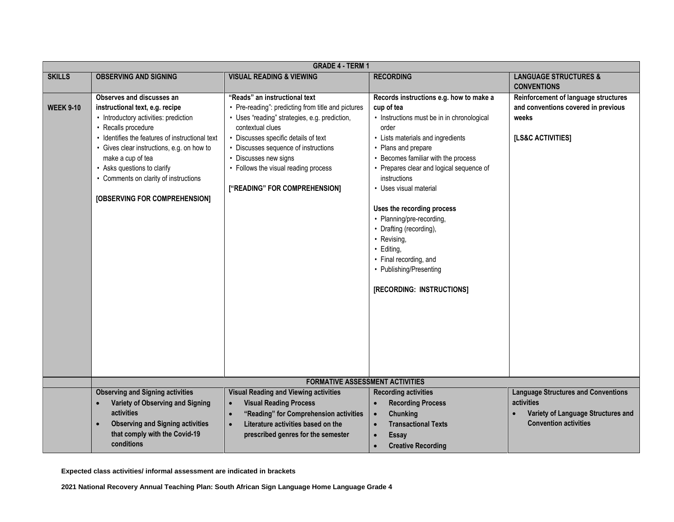|                  | <b>GRADE 4 - TERM 1</b>                                                                                                                                                                                                                                                                                                                                     |                                                                                                                                                                                                                                                                                                                                            |                                                                                                                                                                                                                                                                                                                                                                                                                                                                                                          |                                                                                                                                 |
|------------------|-------------------------------------------------------------------------------------------------------------------------------------------------------------------------------------------------------------------------------------------------------------------------------------------------------------------------------------------------------------|--------------------------------------------------------------------------------------------------------------------------------------------------------------------------------------------------------------------------------------------------------------------------------------------------------------------------------------------|----------------------------------------------------------------------------------------------------------------------------------------------------------------------------------------------------------------------------------------------------------------------------------------------------------------------------------------------------------------------------------------------------------------------------------------------------------------------------------------------------------|---------------------------------------------------------------------------------------------------------------------------------|
| <b>SKILLS</b>    | <b>OBSERVING AND SIGNING</b>                                                                                                                                                                                                                                                                                                                                | <b>VISUAL READING &amp; VIEWING</b>                                                                                                                                                                                                                                                                                                        | <b>RECORDING</b>                                                                                                                                                                                                                                                                                                                                                                                                                                                                                         | <b>LANGUAGE STRUCTURES &amp;</b>                                                                                                |
| <b>WEEK 9-10</b> | Observes and discusses an<br>instructional text, e.g. recipe<br>• Introductory activities: prediction<br>• Recalls procedure<br>• Identifies the features of instructional text<br>• Gives clear instructions, e.g. on how to<br>make a cup of tea<br>• Asks questions to clarify<br>• Comments on clarity of instructions<br>[OBSERVING FOR COMPREHENSION] | "Reads" an instructional text<br>• Pre-reading": predicting from title and pictures<br>· Uses "reading" strategies, e.g. prediction,<br>contextual clues<br>• Discusses specific details of text<br>• Discusses sequence of instructions<br>• Discusses new signs<br>• Follows the visual reading process<br>["READING" FOR COMPREHENSION] | Records instructions e.g. how to make a<br>cup of tea<br>• Instructions must be in in chronological<br>order<br>• Lists materials and ingredients<br>• Plans and prepare<br>Becomes familiar with the process<br>• Prepares clear and logical sequence of<br>instructions<br>• Uses visual material<br>Uses the recording process<br>• Planning/pre-recording,<br>• Drafting (recording),<br>• Revising,<br>· Editing,<br>• Final recording, and<br>• Publishing/Presenting<br>[RECORDING: INSTRUCTIONS] | <b>CONVENTIONS</b><br>Reinforcement of language structures<br>and conventions covered in previous<br>weeks<br>[LS&C ACTIVITIES] |
|                  |                                                                                                                                                                                                                                                                                                                                                             | <b>FORMATIVE ASSESSMENT ACTIVITIES</b>                                                                                                                                                                                                                                                                                                     |                                                                                                                                                                                                                                                                                                                                                                                                                                                                                                          |                                                                                                                                 |
|                  | <b>Observing and Signing activities</b>                                                                                                                                                                                                                                                                                                                     | <b>Visual Reading and Viewing activities</b>                                                                                                                                                                                                                                                                                               | <b>Recording activities</b>                                                                                                                                                                                                                                                                                                                                                                                                                                                                              | <b>Language Structures and Conventions</b>                                                                                      |
|                  | Variety of Observing and Signing<br>activities<br><b>Observing and Signing activities</b><br>$\bullet$<br>that comply with the Covid-19<br>conditions                                                                                                                                                                                                       | <b>Visual Reading Process</b><br>$\bullet$<br>"Reading" for Comprehension activities<br>$\bullet$<br>Literature activities based on the<br>$\bullet$<br>prescribed genres for the semester                                                                                                                                                 | <b>Recording Process</b><br>$\bullet$<br><b>Chunking</b><br>$\bullet$<br><b>Transactional Texts</b><br>$\bullet$<br><b>Essay</b><br>$\bullet$<br><b>Creative Recording</b><br>$\bullet$                                                                                                                                                                                                                                                                                                                  | activities<br>Variety of Language Structures and<br><b>Convention activities</b>                                                |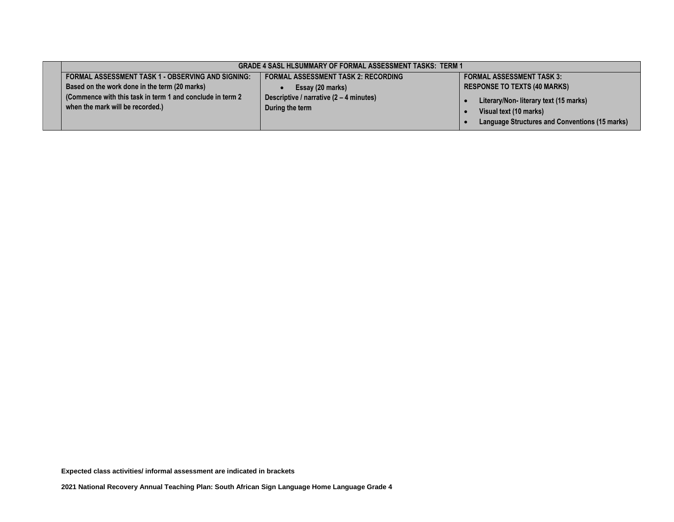|                                                                                               | <b>GRADE 4 SASL HLSUMMARY OF FORMAL ASSESSMENT TASKS: TERM 1</b> |                                                                                                                   |
|-----------------------------------------------------------------------------------------------|------------------------------------------------------------------|-------------------------------------------------------------------------------------------------------------------|
| FORMAL ASSESSMENT TASK 1 - OBSERVING AND SIGNING:                                             | <b>FORMAL ASSESSMENT TASK 2: RECORDING</b>                       | <b>FORMAL ASSESSMENT TASK 3:</b>                                                                                  |
| Based on the work done in the term (20 marks)                                                 | Essay (20 marks)                                                 | <b>RESPONSE TO TEXTS (40 MARKS)</b>                                                                               |
| (Commence with this task in term 1 and conclude in term 2<br>when the mark will be recorded.) | Descriptive / narrative (2 – 4 minutes)<br>During the term       | Literary/Non-literary text (15 marks)<br>Visual text (10 marks)<br>Language Structures and Conventions (15 marks) |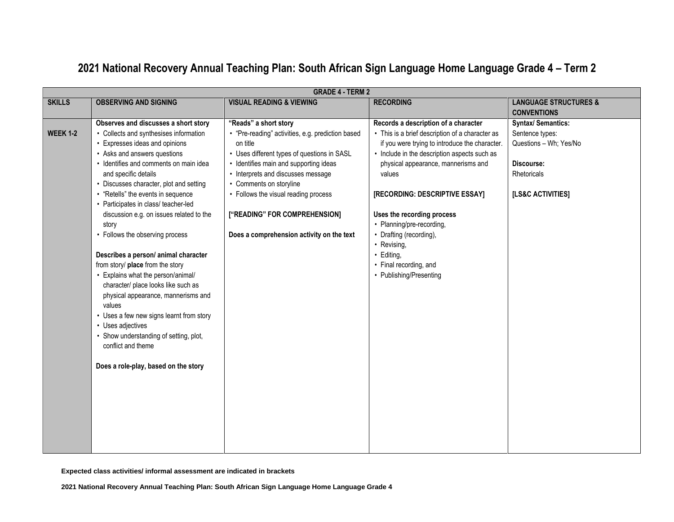| <b>GRADE 4 - TERM 2</b>            |                                                                                                                                                                                                                                                                                                                                                                                                                                                                                                                                                                                                                                                                                                                                                                                                 |                                                                                                                                                                                                                                                                                                                                                                        |                                                                                                                                                                                                                                                                                                                                                                                                                                                      |                                                                                                                         |
|------------------------------------|-------------------------------------------------------------------------------------------------------------------------------------------------------------------------------------------------------------------------------------------------------------------------------------------------------------------------------------------------------------------------------------------------------------------------------------------------------------------------------------------------------------------------------------------------------------------------------------------------------------------------------------------------------------------------------------------------------------------------------------------------------------------------------------------------|------------------------------------------------------------------------------------------------------------------------------------------------------------------------------------------------------------------------------------------------------------------------------------------------------------------------------------------------------------------------|------------------------------------------------------------------------------------------------------------------------------------------------------------------------------------------------------------------------------------------------------------------------------------------------------------------------------------------------------------------------------------------------------------------------------------------------------|-------------------------------------------------------------------------------------------------------------------------|
| <b>SKILLS</b>                      | <b>OBSERVING AND SIGNING</b>                                                                                                                                                                                                                                                                                                                                                                                                                                                                                                                                                                                                                                                                                                                                                                    | <b>VISUAL READING &amp; VIEWING</b>                                                                                                                                                                                                                                                                                                                                    | <b>RECORDING</b>                                                                                                                                                                                                                                                                                                                                                                                                                                     | <b>LANGUAGE STRUCTURES &amp;</b><br><b>CONVENTIONS</b>                                                                  |
| <b>WEEK 1-2</b><br>story<br>values | Observes and discusses a short story<br>• Collects and synthesises information<br>Expresses ideas and opinions<br>• Asks and answers questions<br>· Identifies and comments on main idea<br>and specific details<br>• Discusses character, plot and setting<br>• "Retells" the events in sequence<br>• Participates in class/ teacher-led<br>discussion e.g. on issues related to the<br>• Follows the observing process<br>Describes a person/ animal character<br>from story/ place from the story<br>Explains what the person/animal/<br>character/ place looks like such as<br>physical appearance, mannerisms and<br>• Uses a few new signs learnt from story<br>• Uses adjectives<br>• Show understanding of setting, plot,<br>conflict and theme<br>Does a role-play, based on the story | "Reads" a short story<br>• "Pre-reading" activities, e.g. prediction based<br>on title<br>• Uses different types of questions in SASL<br>• Identifies main and supporting ideas<br>• Interprets and discusses message<br>• Comments on storyline<br>• Follows the visual reading process<br>["READING" FOR COMPREHENSION]<br>Does a comprehension activity on the text | Records a description of a character<br>• This is a brief description of a character as<br>if you were trying to introduce the character.<br>• Include in the description aspects such as<br>physical appearance, mannerisms and<br>values<br>[RECORDING: DESCRIPTIVE ESSAY]<br>Uses the recording process<br>• Planning/pre-recording,<br>• Drafting (recording),<br>• Revising,<br>· Editing,<br>• Final recording, and<br>• Publishing/Presenting | <b>Syntax/Semantics:</b><br>Sentence types:<br>Questions - Wh; Yes/No<br>Discourse:<br>Rhetoricals<br>[LS&C ACTIVITIES] |

# **2021 National Recovery Annual Teaching Plan: South African Sign Language Home Language Grade 4 – Term 2**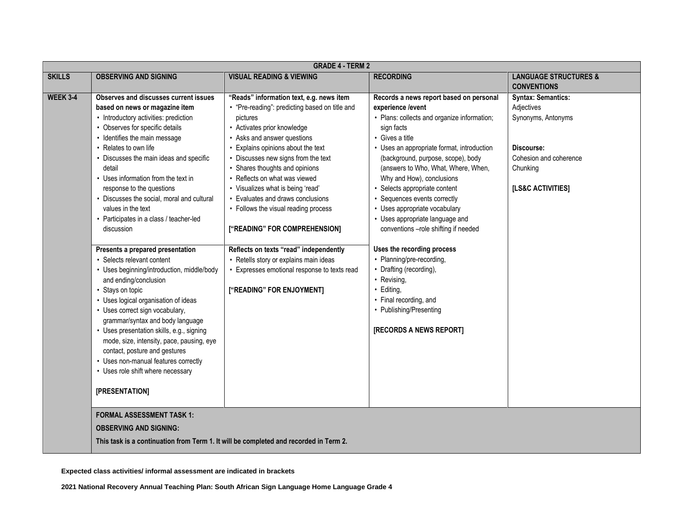|                 | <b>GRADE 4 - TERM 2</b>                                                                                                                                                                                                                                                                                                                                                                                                                                                                                                                                                                                                                                                                                                                                                                                                                                                                                                                                                                                                                               |                                                                                                                                                                                                                                                                                                                                                                                                                                                                                                                                                                                                                                          |                                                                                                                                                                                                                                                                                                                                                                                                                                                                                                                                                                                                                                                                                             |                                                                                                                                        |
|-----------------|-------------------------------------------------------------------------------------------------------------------------------------------------------------------------------------------------------------------------------------------------------------------------------------------------------------------------------------------------------------------------------------------------------------------------------------------------------------------------------------------------------------------------------------------------------------------------------------------------------------------------------------------------------------------------------------------------------------------------------------------------------------------------------------------------------------------------------------------------------------------------------------------------------------------------------------------------------------------------------------------------------------------------------------------------------|------------------------------------------------------------------------------------------------------------------------------------------------------------------------------------------------------------------------------------------------------------------------------------------------------------------------------------------------------------------------------------------------------------------------------------------------------------------------------------------------------------------------------------------------------------------------------------------------------------------------------------------|---------------------------------------------------------------------------------------------------------------------------------------------------------------------------------------------------------------------------------------------------------------------------------------------------------------------------------------------------------------------------------------------------------------------------------------------------------------------------------------------------------------------------------------------------------------------------------------------------------------------------------------------------------------------------------------------|----------------------------------------------------------------------------------------------------------------------------------------|
| <b>SKILLS</b>   | <b>OBSERVING AND SIGNING</b>                                                                                                                                                                                                                                                                                                                                                                                                                                                                                                                                                                                                                                                                                                                                                                                                                                                                                                                                                                                                                          | <b>VISUAL READING &amp; VIEWING</b>                                                                                                                                                                                                                                                                                                                                                                                                                                                                                                                                                                                                      | <b>RECORDING</b>                                                                                                                                                                                                                                                                                                                                                                                                                                                                                                                                                                                                                                                                            | <b>LANGUAGE STRUCTURES &amp;</b><br><b>CONVENTIONS</b>                                                                                 |
| <b>WEEK 3-4</b> | <b>Observes and discusses current issues</b><br>based on news or magazine item<br>• Introductory activities: prediction<br>• Observes for specific details<br>• Identifies the main message<br>• Relates to own life<br>• Discusses the main ideas and specific<br>detail<br>• Uses information from the text in<br>response to the questions<br>• Discusses the social, moral and cultural<br>values in the text<br>• Participates in a class / teacher-led<br>discussion<br>Presents a prepared presentation<br>• Selects relevant content<br>• Uses beginning/introduction, middle/body<br>and ending/conclusion<br>• Stays on topic<br>• Uses logical organisation of ideas<br>• Uses correct sign vocabulary,<br>grammar/syntax and body language<br>• Uses presentation skills, e.g., signing<br>mode, size, intensity, pace, pausing, eye<br>contact, posture and gestures<br>• Uses non-manual features correctly<br>• Uses role shift where necessary<br>[PRESENTATION]<br><b>FORMAL ASSESSMENT TASK 1:</b><br><b>OBSERVING AND SIGNING:</b> | "Reads" information text, e.g. news item<br>• "Pre-reading": predicting based on title and<br>pictures<br>• Activates prior knowledge<br>• Asks and answer questions<br>• Explains opinions about the text<br>• Discusses new signs from the text<br>• Shares thoughts and opinions<br>• Reflects on what was viewed<br>• Visualizes what is being 'read'<br>• Evaluates and draws conclusions<br>• Follows the visual reading process<br>["READING" FOR COMPREHENSION]<br>Reflects on texts "read" independently<br>• Retells story or explains main ideas<br>• Expresses emotional response to texts read<br>["READING" FOR ENJOYMENT] | Records a news report based on personal<br>experience /event<br>• Plans: collects and organize information;<br>sign facts<br>• Gives a title<br>• Uses an appropriate format, introduction<br>(background, purpose, scope), body<br>(answers to Who, What, Where, When,<br>Why and How), conclusions<br>• Selects appropriate content<br>• Sequences events correctly<br>• Uses appropriate vocabulary<br>• Uses appropriate language and<br>conventions -role shifting if needed<br>Uses the recording process<br>• Planning/pre-recording,<br>• Drafting (recording),<br>• Revising,<br>· Editing,<br>• Final recording, and<br>• Publishing/Presenting<br><b>[RECORDS A NEWS REPORT]</b> | <b>Syntax: Semantics:</b><br>Adjectives<br>Synonyms, Antonyms<br>Discourse:<br>Cohesion and coherence<br>Chunking<br>[LS&C ACTIVITIES] |
|                 | This task is a continuation from Term 1. It will be completed and recorded in Term 2.                                                                                                                                                                                                                                                                                                                                                                                                                                                                                                                                                                                                                                                                                                                                                                                                                                                                                                                                                                 |                                                                                                                                                                                                                                                                                                                                                                                                                                                                                                                                                                                                                                          |                                                                                                                                                                                                                                                                                                                                                                                                                                                                                                                                                                                                                                                                                             |                                                                                                                                        |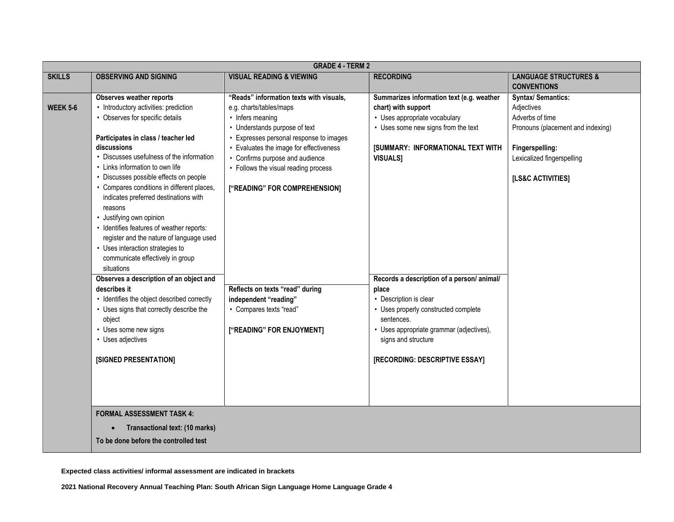|                 | <b>GRADE 4 - TERM 2</b>                                              |                                         |                                           |                                   |
|-----------------|----------------------------------------------------------------------|-----------------------------------------|-------------------------------------------|-----------------------------------|
| <b>SKILLS</b>   | <b>OBSERVING AND SIGNING</b>                                         | <b>VISUAL READING &amp; VIEWING</b>     | <b>RECORDING</b>                          | <b>LANGUAGE STRUCTURES &amp;</b>  |
|                 |                                                                      |                                         |                                           | <b>CONVENTIONS</b>                |
|                 | <b>Observes weather reports</b>                                      | "Reads" information texts with visuals, | Summarizes information text (e.g. weather | <b>Syntax/ Semantics:</b>         |
| <b>WEEK 5-6</b> | • Introductory activities: prediction                                | e.g. charts/tables/maps                 | chart) with support                       | Adjectives                        |
|                 | • Observes for specific details                                      | • Infers meaning                        | • Uses appropriate vocabulary             | Adverbs of time                   |
|                 |                                                                      | • Understands purpose of text           | • Uses some new signs from the text       | Pronouns (placement and indexing) |
|                 | Participates in class / teacher led                                  | Expresses personal response to images   |                                           |                                   |
|                 | discussions                                                          | Evaluates the image for effectiveness   | <b>[SUMMARY: INFORMATIONAL TEXT WITH</b>  | Fingerspelling:                   |
|                 | • Discusses usefulness of the information                            | • Confirms purpose and audience         | <b>VISUALS]</b>                           | Lexicalized fingerspelling        |
|                 | • Links information to own life                                      | • Follows the visual reading process    |                                           |                                   |
|                 | • Discusses possible effects on people                               |                                         |                                           | [LS&C ACTIVITIES]                 |
|                 | • Compares conditions in different places,                           | ["READING" FOR COMPREHENSION]           |                                           |                                   |
|                 | indicates preferred destinations with                                |                                         |                                           |                                   |
|                 | reasons                                                              |                                         |                                           |                                   |
|                 | · Justifying own opinion                                             |                                         |                                           |                                   |
|                 | • Identifies features of weather reports:                            |                                         |                                           |                                   |
|                 | register and the nature of language used                             |                                         |                                           |                                   |
|                 | • Uses interaction strategies to<br>communicate effectively in group |                                         |                                           |                                   |
|                 | situations                                                           |                                         |                                           |                                   |
|                 | Observes a description of an object and                              |                                         | Records a description of a person/animal/ |                                   |
|                 | describes it                                                         | Reflects on texts "read" during         | place                                     |                                   |
|                 | • Identifies the object described correctly                          | independent "reading"                   | • Description is clear                    |                                   |
|                 | • Uses signs that correctly describe the                             | • Compares texts "read"                 | • Uses properly constructed complete      |                                   |
|                 | object                                                               |                                         | sentences.                                |                                   |
|                 | • Uses some new signs                                                | ["READING" FOR ENJOYMENT]               | · Uses appropriate grammar (adjectives),  |                                   |
|                 | • Uses adjectives                                                    |                                         | signs and structure                       |                                   |
|                 |                                                                      |                                         |                                           |                                   |
|                 | [SIGNED PRESENTATION]                                                |                                         | [RECORDING: DESCRIPTIVE ESSAY]            |                                   |
|                 |                                                                      |                                         |                                           |                                   |
|                 |                                                                      |                                         |                                           |                                   |
|                 |                                                                      |                                         |                                           |                                   |
|                 |                                                                      |                                         |                                           |                                   |
|                 | <b>FORMAL ASSESSMENT TASK 4:</b>                                     |                                         |                                           |                                   |
|                 | Transactional text: (10 marks)                                       |                                         |                                           |                                   |
|                 | To be done before the controlled test                                |                                         |                                           |                                   |
|                 |                                                                      |                                         |                                           |                                   |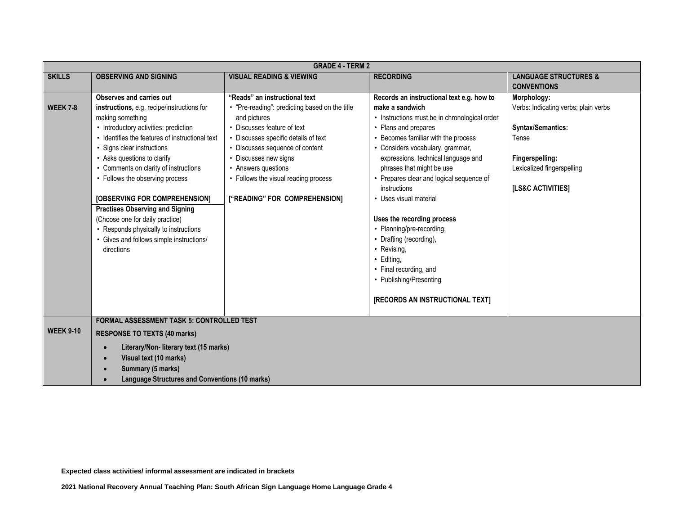|                  | <b>GRADE 4 - TERM 2</b>                               |                                                |                                               |                                      |
|------------------|-------------------------------------------------------|------------------------------------------------|-----------------------------------------------|--------------------------------------|
| <b>SKILLS</b>    | <b>OBSERVING AND SIGNING</b>                          | <b>VISUAL READING &amp; VIEWING</b>            | <b>RECORDING</b>                              | <b>LANGUAGE STRUCTURES &amp;</b>     |
|                  |                                                       |                                                |                                               | <b>CONVENTIONS</b>                   |
|                  | Observes and carries out                              | "Reads" an instructional text                  | Records an instructional text e.g. how to     | Morphology:                          |
| <b>WEEK 7-8</b>  | instructions, e.g. recipe/instructions for            | • "Pre-reading": predicting based on the title | make a sandwich                               | Verbs: Indicating verbs; plain verbs |
|                  | making something                                      | and pictures                                   | • Instructions must be in chronological order |                                      |
|                  | • Introductory activities: prediction                 | • Discusses feature of text                    | • Plans and prepares                          | <b>Syntax/Semantics:</b>             |
|                  | • Identifies the features of instructional text       | • Discusses specific details of text           | • Becomes familiar with the process           | Tense                                |
|                  | • Signs clear instructions                            | • Discusses sequence of content                | • Considers vocabulary, grammar,              |                                      |
|                  | • Asks questions to clarify                           | • Discusses new signs                          | expressions, technical language and           | Fingerspelling:                      |
|                  | • Comments on clarity of instructions                 | • Answers questions                            | phrases that might be use                     | Lexicalized fingerspelling           |
|                  | • Follows the observing process                       | • Follows the visual reading process           | • Prepares clear and logical sequence of      |                                      |
|                  |                                                       |                                                | instructions                                  | [LS&C ACTIVITIES]                    |
|                  | [OBSERVING FOR COMPREHENSION]                         | ["READING" FOR COMPREHENSION]                  | • Uses visual material                        |                                      |
|                  | <b>Practises Observing and Signing</b>                |                                                |                                               |                                      |
|                  | (Choose one for daily practice)                       |                                                | Uses the recording process                    |                                      |
|                  | • Responds physically to instructions                 |                                                | • Planning/pre-recording,                     |                                      |
|                  | • Gives and follows simple instructions/              |                                                | • Drafting (recording),                       |                                      |
|                  | directions                                            |                                                | • Revising,                                   |                                      |
|                  |                                                       |                                                | · Editing,                                    |                                      |
|                  |                                                       |                                                | • Final recording, and                        |                                      |
|                  |                                                       |                                                | • Publishing/Presenting                       |                                      |
|                  |                                                       |                                                |                                               |                                      |
|                  |                                                       |                                                | [RECORDS AN INSTRUCTIONAL TEXT]               |                                      |
|                  | <b>FORMAL ASSESSMENT TASK 5: CONTROLLED TEST</b>      |                                                |                                               |                                      |
| <b>WEEK 9-10</b> |                                                       |                                                |                                               |                                      |
|                  | <b>RESPONSE TO TEXTS (40 marks)</b>                   |                                                |                                               |                                      |
|                  | Literary/Non- literary text (15 marks)<br>$\bullet$   |                                                |                                               |                                      |
|                  | Visual text (10 marks)<br>$\bullet$                   |                                                |                                               |                                      |
|                  | Summary (5 marks)                                     |                                                |                                               |                                      |
|                  | <b>Language Structures and Conventions (10 marks)</b> |                                                |                                               |                                      |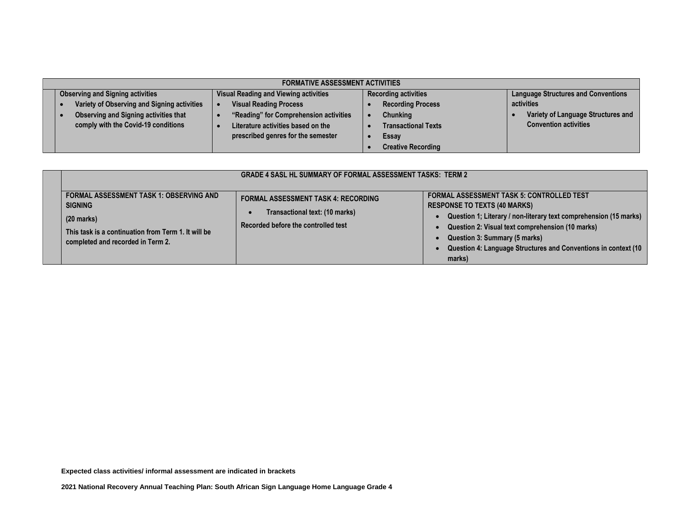| <b>FORMATIVE ASSESSMENT ACTIVITIES</b>       |                                              |                             |                                            |  |
|----------------------------------------------|----------------------------------------------|-----------------------------|--------------------------------------------|--|
| <b>Observing and Signing activities</b>      | <b>Visual Reading and Viewing activities</b> | <b>Recording activities</b> | <b>Language Structures and Conventions</b> |  |
| Variety of Observing and Signing activities  | <b>Visual Reading Process</b>                | <b>Recording Process</b>    | activities                                 |  |
| <b>Observing and Signing activities that</b> | "Reading" for Comprehension activities       | Chunking                    | Variety of Language Structures and         |  |
| comply with the Covid-19 conditions          | Literature activities based on the           | <b>Transactional Texts</b>  | <b>Convention activities</b>               |  |
|                                              | prescribed genres for the semester           | Essay                       |                                            |  |
|                                              |                                              | <b>Creative Recording</b>   |                                            |  |

|                                                                                                                                                                              | <b>GRADE 4 SASL HL SUMMARY OF FORMAL ASSESSMENT TASKS: TERM 2</b>                                                   |                                                                                                                                                                                                                                                                                                                               |
|------------------------------------------------------------------------------------------------------------------------------------------------------------------------------|---------------------------------------------------------------------------------------------------------------------|-------------------------------------------------------------------------------------------------------------------------------------------------------------------------------------------------------------------------------------------------------------------------------------------------------------------------------|
| <b>FORMAL ASSESSMENT TASK 1: OBSERVING AND</b><br><b>SIGNING</b><br>$(20$ marks)<br>This task is a continuation from Term 1. It will be<br>completed and recorded in Term 2. | <b>FORMAL ASSESSMENT TASK 4: RECORDING</b><br>Transactional text: (10 marks)<br>Recorded before the controlled test | <b>FORMAL ASSESSMENT TASK 5: CONTROLLED TEST</b><br><b>RESPONSE TO TEXTS (40 MARKS)</b><br>Question 1; Literary / non-literary text comprehension (15 marks)<br>Question 2: Visual text comprehension (10 marks)<br>Question 3: Summary (5 marks)<br>Question 4: Language Structures and Conventions in context (10<br>marks) |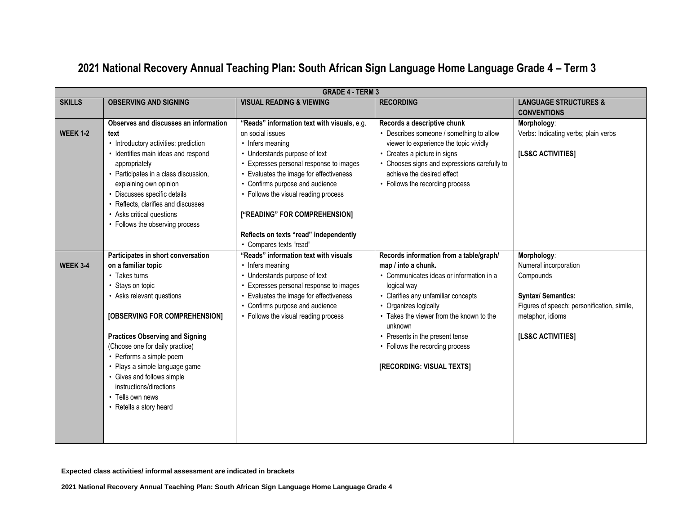#### **GRADE 4 - TERM 3 SKILLS OBSERVING AND SIGNING VISUAL READING & VIEWING RECORDING LANGUAGE STRUCTURES & CONVENTIONS WEEK 1-2 Observes and discusses an information text** • Introductory activities: prediction • Identifies main ideas and respond appropriately • Participates in a class discussion, explaining own opinion • Discusses specific details • Reflects, clarifies and discusses • Asks critical questions • Follows the observing process **"Reads" information text with visuals,** e.g. on social issues • Infers meaning • Understands purpose of text • Expresses personal response to images • Evaluates the image for effectiveness • Confirms purpose and audience • Follows the visual reading process **["READING" FOR COMPREHENSION] Reflects on texts "read" independently** • Compares texts "read" **Records a descriptive chunk** • Describes someone / something to allow viewer to experience the topic vividly • Creates a picture in signs • Chooses signs and expressions carefully to achieve the desired effect • Follows the recording process **Morphology**: Verbs: Indicating verbs; plain verbs **[LS&C ACTIVITIES] WEEK 3-4 Participates in short conversation on a familiar topic** • Takes turns • Stays on topic • Asks relevant questions **[OBSERVING FOR COMPREHENSION] Practices Observing and Signing** (Choose one for daily practice) • Performs a simple poem • Plays a simple language game • Gives and follows simple instructions/directions • Tells own news • Retells a story heard **"Reads" information text with visuals** • Infers meaning • Understands purpose of text • Expresses personal response to images • Evaluates the image for effectiveness • Confirms purpose and audience • Follows the visual reading process **Records information from a table/graph/ map / into a chunk.** • Communicates ideas or information in a logical way • Clarifies any unfamiliar concepts • Organizes logically • Takes the viewer from the known to the unknown • Presents in the present tense • Follows the recording process **[RECORDING: VISUAL TEXTS] Morphology**: Numeral incorporation Compounds **Syntax/ Semantics:** Figures of speech: personification, simile, metaphor, idioms **[LS&C ACTIVITIES]**

### **2021 National Recovery Annual Teaching Plan: South African Sign Language Home Language Grade 4 – Term 3**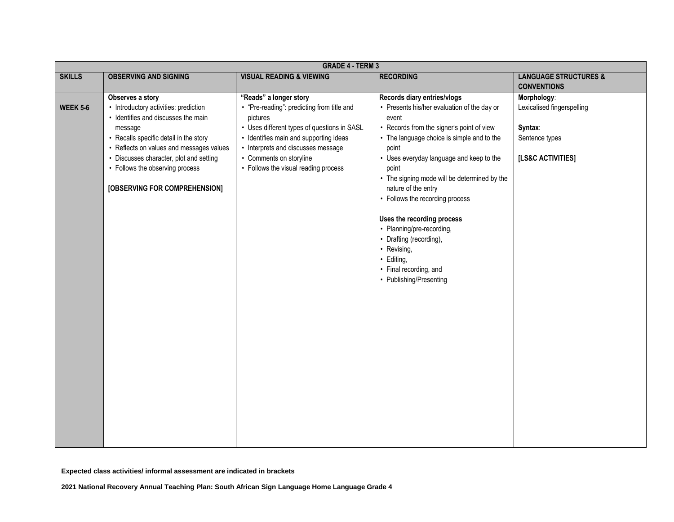|                 | <b>GRADE 4 - TERM 3</b>                  |                                             |                                              |                                  |
|-----------------|------------------------------------------|---------------------------------------------|----------------------------------------------|----------------------------------|
| <b>SKILLS</b>   | <b>OBSERVING AND SIGNING</b>             | <b>VISUAL READING &amp; VIEWING</b>         | <b>RECORDING</b>                             | <b>LANGUAGE STRUCTURES &amp;</b> |
|                 |                                          |                                             |                                              | <b>CONVENTIONS</b>               |
|                 | Observes a story                         | "Reads" a longer story                      | Records diary entries/vlogs                  | Morphology:                      |
| <b>WEEK 5-6</b> | • Introductory activities: prediction    | • "Pre-reading": predicting from title and  | • Presents his/her evaluation of the day or  | Lexicalised fingerspelling       |
|                 | • Identifies and discusses the main      | pictures                                    | event                                        |                                  |
|                 | message                                  | • Uses different types of questions in SASL | • Records from the signer's point of view    | Syntax:                          |
|                 | • Recalls specific detail in the story   | • Identifies main and supporting ideas      | • The language choice is simple and to the   | Sentence types                   |
|                 | • Reflects on values and messages values | • Interprets and discusses message          | point                                        |                                  |
|                 | • Discusses character, plot and setting  | • Comments on storyline                     | • Uses everyday language and keep to the     | [LS&C ACTIVITIES]                |
|                 | • Follows the observing process          | • Follows the visual reading process        | point                                        |                                  |
|                 |                                          |                                             | • The signing mode will be determined by the |                                  |
|                 | [OBSERVING FOR COMPREHENSION]            |                                             | nature of the entry                          |                                  |
|                 |                                          |                                             | • Follows the recording process              |                                  |
|                 |                                          |                                             | Uses the recording process                   |                                  |
|                 |                                          |                                             | • Planning/pre-recording,                    |                                  |
|                 |                                          |                                             | • Drafting (recording),                      |                                  |
|                 |                                          |                                             | • Revising,                                  |                                  |
|                 |                                          |                                             | · Editing,                                   |                                  |
|                 |                                          |                                             | • Final recording, and                       |                                  |
|                 |                                          |                                             | • Publishing/Presenting                      |                                  |
|                 |                                          |                                             |                                              |                                  |
|                 |                                          |                                             |                                              |                                  |
|                 |                                          |                                             |                                              |                                  |
|                 |                                          |                                             |                                              |                                  |
|                 |                                          |                                             |                                              |                                  |
|                 |                                          |                                             |                                              |                                  |
|                 |                                          |                                             |                                              |                                  |
|                 |                                          |                                             |                                              |                                  |
|                 |                                          |                                             |                                              |                                  |
|                 |                                          |                                             |                                              |                                  |
|                 |                                          |                                             |                                              |                                  |
|                 |                                          |                                             |                                              |                                  |
|                 |                                          |                                             |                                              |                                  |
|                 |                                          |                                             |                                              |                                  |
|                 |                                          |                                             |                                              |                                  |
|                 |                                          |                                             |                                              |                                  |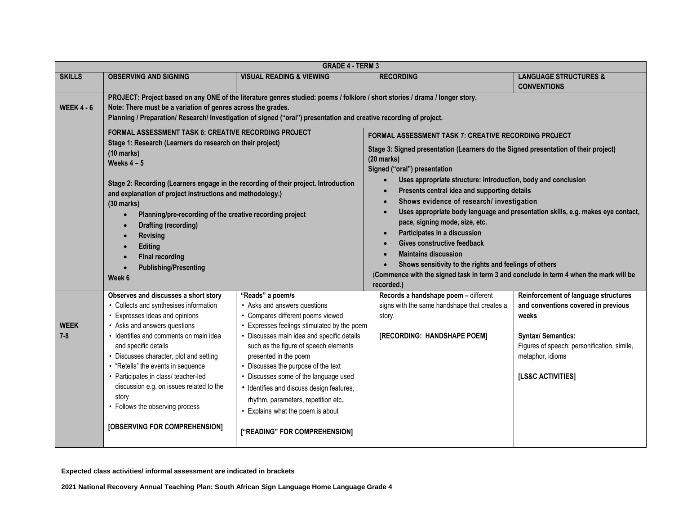|                        | <b>GRADE 4 - TERM 3</b>                                                                                                                                                                                                                                                                                                                                                                                                                                                                                                                                                        |                                                                                                                                                                                                                                                                                                                                                                                                                                                                                                |                                                                                                                                                                                                                                                                                                                                                                                                                                                                                                                                                                                                                                                                   |                                                                                                                                                                                                           |  |
|------------------------|--------------------------------------------------------------------------------------------------------------------------------------------------------------------------------------------------------------------------------------------------------------------------------------------------------------------------------------------------------------------------------------------------------------------------------------------------------------------------------------------------------------------------------------------------------------------------------|------------------------------------------------------------------------------------------------------------------------------------------------------------------------------------------------------------------------------------------------------------------------------------------------------------------------------------------------------------------------------------------------------------------------------------------------------------------------------------------------|-------------------------------------------------------------------------------------------------------------------------------------------------------------------------------------------------------------------------------------------------------------------------------------------------------------------------------------------------------------------------------------------------------------------------------------------------------------------------------------------------------------------------------------------------------------------------------------------------------------------------------------------------------------------|-----------------------------------------------------------------------------------------------------------------------------------------------------------------------------------------------------------|--|
| <b>SKILLS</b>          | <b>OBSERVING AND SIGNING</b>                                                                                                                                                                                                                                                                                                                                                                                                                                                                                                                                                   | <b>VISUAL READING &amp; VIEWING</b>                                                                                                                                                                                                                                                                                                                                                                                                                                                            | <b>RECORDING</b>                                                                                                                                                                                                                                                                                                                                                                                                                                                                                                                                                                                                                                                  | <b>LANGUAGE STRUCTURES &amp;</b>                                                                                                                                                                          |  |
|                        |                                                                                                                                                                                                                                                                                                                                                                                                                                                                                                                                                                                |                                                                                                                                                                                                                                                                                                                                                                                                                                                                                                |                                                                                                                                                                                                                                                                                                                                                                                                                                                                                                                                                                                                                                                                   | <b>CONVENTIONS</b>                                                                                                                                                                                        |  |
| <b>WEEK 4 - 6</b>      | PROJECT: Project based on any ONE of the literature genres studied: poems / folklore / short stories / drama / longer story.<br>Note: There must be a variation of genres across the grades.<br>Planning / Preparation/ Research/ Investigation of signed ("oral") presentation and creative recording of project.                                                                                                                                                                                                                                                             |                                                                                                                                                                                                                                                                                                                                                                                                                                                                                                |                                                                                                                                                                                                                                                                                                                                                                                                                                                                                                                                                                                                                                                                   |                                                                                                                                                                                                           |  |
|                        | <b>FORMAL ASSESSMENT TASK 6: CREATIVE RECORDING PROJECT</b><br>Stage 1: Research (Learners do research on their project)<br>$(10 \text{ marks})$<br>Weeks $4-5$<br>Stage 2: Recording (Learners engage in the recording of their project. Introduction<br>and explanation of project instructions and methodology.)<br>$(30$ marks)<br>Planning/pre-recording of the creative recording project<br>$\bullet$<br><b>Drafting (recording)</b><br>$\bullet$<br><b>Revising</b><br>$\bullet$<br><b>Editing</b><br><b>Final recording</b><br><b>Publishing/Presenting</b><br>Week 6 |                                                                                                                                                                                                                                                                                                                                                                                                                                                                                                | <b>FORMAL ASSESSMENT TASK 7: CREATIVE RECORDING PROJECT</b><br>Stage 3: Signed presentation (Learners do the Signed presentation of their project)<br>$(20$ marks)<br>Signed ("oral") presentation<br>Uses appropriate structure: introduction, body and conclusion<br>Presents central idea and supporting details<br>Shows evidence of research/ investigation<br>pace, signing mode, size, etc.<br>Participates in a discussion<br>Gives constructive feedback<br><b>Maintains discussion</b><br>Shows sensitivity to the rights and feelings of others<br>(Commence with the signed task in term 3 and conclude in term 4 when the mark will be<br>recorded.) | Uses appropriate body language and presentation skills, e.g. makes eye contact,                                                                                                                           |  |
| <b>WEEK</b><br>$7 - 8$ | Observes and discusses a short story<br>• Collects and synthesises information<br>Expresses ideas and opinions<br>• Asks and answers questions<br>· Identifies and comments on main idea<br>and specific details<br>• Discusses character, plot and setting<br>• "Retells" the events in sequence<br>• Participates in class/ teacher-led<br>discussion e.g. on issues related to the<br>story<br>• Follows the observing process<br>[OBSERVING FOR COMPREHENSION]                                                                                                             | "Reads" a poem/s<br>• Asks and answers questions<br>• Compares different poems viewed<br>• Expresses feelings stimulated by the poem<br>• Discusses main idea and specific details<br>such as the figure of speech elements<br>presented in the poem<br>• Discusses the purpose of the text<br>• Discusses some of the language used<br>• Identifies and discuss design features,<br>rhythm, parameters, repetition etc.<br>• Explains what the poem is about<br>["READING" FOR COMPREHENSION] | Records a handshape poem - different<br>signs with the same handshape that creates a<br>story.<br>[RECORDING: HANDSHAPE POEM]                                                                                                                                                                                                                                                                                                                                                                                                                                                                                                                                     | Reinforcement of language structures<br>and conventions covered in previous<br>weeks<br><b>Syntax/ Semantics:</b><br>Figures of speech: personification, simile,<br>metaphor, idioms<br>[LS&C ACTIVITIES] |  |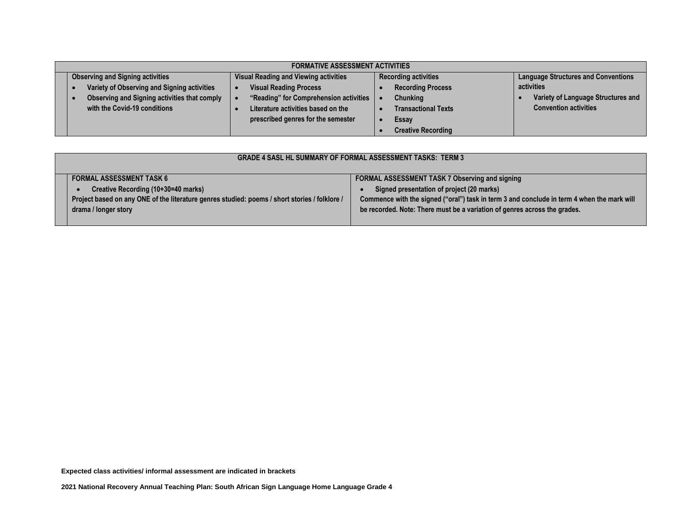| <b>FORMATIVE ASSESSMENT ACTIVITIES</b>       |                                              |                             |                                            |  |
|----------------------------------------------|----------------------------------------------|-----------------------------|--------------------------------------------|--|
| <b>Observing and Signing activities</b>      | <b>Visual Reading and Viewing activities</b> | <b>Recording activities</b> | <b>Language Structures and Conventions</b> |  |
| Variety of Observing and Signing activities  | <b>Visual Reading Process</b>                | <b>Recording Process</b>    | activities                                 |  |
| Observing and Signing activities that comply | "Reading" for Comprehension activities       | <b>Chunking</b>             | Variety of Language Structures and         |  |
| with the Covid-19 conditions                 | Literature activities based on the           | <b>Transactional Texts</b>  | <b>Convention activities</b>               |  |
|                                              | prescribed genres for the semester           | Essay                       |                                            |  |
|                                              |                                              | <b>Creative Recording</b>   |                                            |  |

|                                                                                                                                                              | <b>GRADE 4 SASL HL SUMMARY OF FORMAL ASSESSMENT TASKS: TERM 3</b> |                                                                                            |  |  |
|--------------------------------------------------------------------------------------------------------------------------------------------------------------|-------------------------------------------------------------------|--------------------------------------------------------------------------------------------|--|--|
|                                                                                                                                                              | <b>FORMAL ASSESSMENT TASK 6</b>                                   | FORMAL ASSESSMENT TASK 7 Observing and signing                                             |  |  |
| Creative Recording (10+30=40 marks)<br>Project based on any ONE of the literature genres studied: poems / short stories / folklore /<br>drama / longer story |                                                                   | Signed presentation of project (20 marks)                                                  |  |  |
|                                                                                                                                                              |                                                                   | Commence with the signed ("oral") task in term 3 and conclude in term 4 when the mark will |  |  |
|                                                                                                                                                              |                                                                   | be recorded. Note: There must be a variation of genres across the grades.                  |  |  |
|                                                                                                                                                              |                                                                   |                                                                                            |  |  |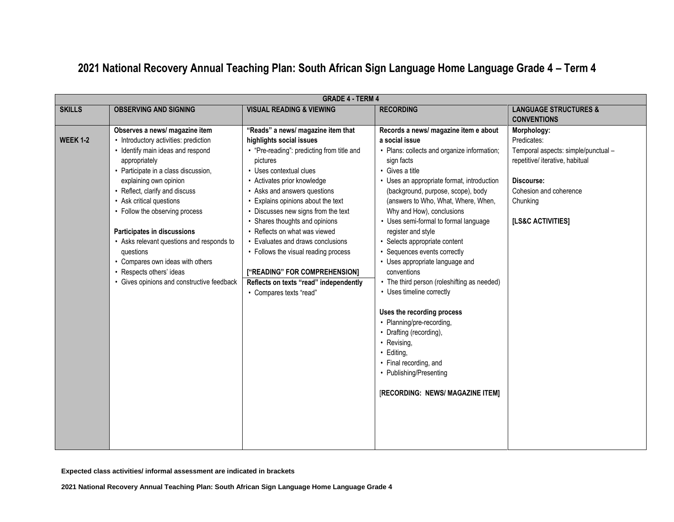# **2021 National Recovery Annual Teaching Plan: South African Sign Language Home Language Grade 4 – Term 4**

|                 | <b>GRADE 4 - TERM 4</b>                    |                                            |                                             |                                     |
|-----------------|--------------------------------------------|--------------------------------------------|---------------------------------------------|-------------------------------------|
| <b>SKILLS</b>   | <b>OBSERVING AND SIGNING</b>               | <b>VISUAL READING &amp; VIEWING</b>        | <b>RECORDING</b>                            | <b>LANGUAGE STRUCTURES &amp;</b>    |
|                 |                                            |                                            |                                             | <b>CONVENTIONS</b>                  |
|                 | Observes a news/ magazine item             | "Reads" a news/ magazine item that         | Records a news/ magazine item e about       | Morphology:                         |
| <b>WEEK 1-2</b> | • Introductory activities: prediction      | highlights social issues                   | a social issue                              | Predicates:                         |
|                 | • Identify main ideas and respond          | • "Pre-reading": predicting from title and | • Plans: collects and organize information; | Temporal aspects: simple/punctual - |
|                 | appropriately                              | pictures                                   | sign facts                                  | repetitive/ iterative, habitual     |
|                 | • Participate in a class discussion,       | • Uses contextual clues                    | • Gives a title                             |                                     |
|                 | explaining own opinion                     | • Activates prior knowledge                | • Uses an appropriate format, introduction  | Discourse:                          |
|                 | • Reflect, clarify and discuss             | • Asks and answers questions               | (background, purpose, scope), body          | Cohesion and coherence              |
|                 | • Ask critical questions                   | Explains opinions about the text           | (answers to Who, What, Where, When,         | Chunking                            |
|                 | • Follow the observing process             | • Discusses new signs from the text        | Why and How), conclusions                   |                                     |
|                 |                                            | • Shares thoughts and opinions             | • Uses semi-formal to formal language       | [LS&C ACTIVITIES]                   |
|                 | Participates in discussions                | • Reflects on what was viewed              | register and style                          |                                     |
|                 | • Asks relevant questions and responds to  | • Evaluates and draws conclusions          | • Selects appropriate content               |                                     |
|                 | questions                                  | • Follows the visual reading process       | • Sequences events correctly                |                                     |
|                 | • Compares own ideas with others           |                                            | • Uses appropriate language and             |                                     |
|                 | • Respects others' ideas                   | ["READING" FOR COMPREHENSION]              | conventions                                 |                                     |
|                 | • Gives opinions and constructive feedback | Reflects on texts "read" independently     | • The third person (roleshifting as needed) |                                     |
|                 |                                            | • Compares texts "read"                    | • Uses timeline correctly                   |                                     |
|                 |                                            |                                            |                                             |                                     |
|                 |                                            |                                            | Uses the recording process                  |                                     |
|                 |                                            |                                            | • Planning/pre-recording,                   |                                     |
|                 |                                            |                                            | • Drafting (recording),                     |                                     |
|                 |                                            |                                            | • Revising,                                 |                                     |
|                 |                                            |                                            | · Editing,                                  |                                     |
|                 |                                            |                                            | • Final recording, and                      |                                     |
|                 |                                            |                                            | • Publishing/Presenting                     |                                     |
|                 |                                            |                                            | [RECORDING: NEWS/ MAGAZINE ITEM]            |                                     |
|                 |                                            |                                            |                                             |                                     |
|                 |                                            |                                            |                                             |                                     |
|                 |                                            |                                            |                                             |                                     |
|                 |                                            |                                            |                                             |                                     |
|                 |                                            |                                            |                                             |                                     |
|                 |                                            |                                            |                                             |                                     |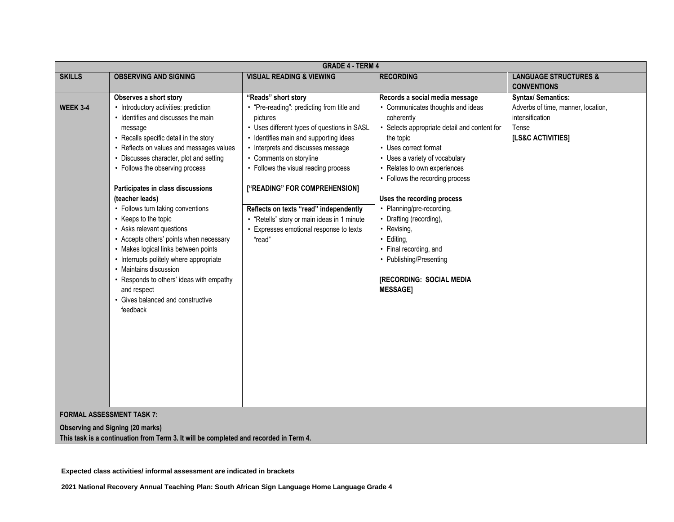|                 | <b>GRADE 4 - TERM 4</b>                                                                                                                                                                                                                                                                                                                                                                                                                                                                                                                                                                                                                                                                                     |                                                                                                                                                                                                                                                                                                                                                                                                                                                                |                                                                                                                                                                                                                                                                                                                                                                                                                                                                                                     |                                                                                                                  |
|-----------------|-------------------------------------------------------------------------------------------------------------------------------------------------------------------------------------------------------------------------------------------------------------------------------------------------------------------------------------------------------------------------------------------------------------------------------------------------------------------------------------------------------------------------------------------------------------------------------------------------------------------------------------------------------------------------------------------------------------|----------------------------------------------------------------------------------------------------------------------------------------------------------------------------------------------------------------------------------------------------------------------------------------------------------------------------------------------------------------------------------------------------------------------------------------------------------------|-----------------------------------------------------------------------------------------------------------------------------------------------------------------------------------------------------------------------------------------------------------------------------------------------------------------------------------------------------------------------------------------------------------------------------------------------------------------------------------------------------|------------------------------------------------------------------------------------------------------------------|
| <b>SKILLS</b>   | <b>OBSERVING AND SIGNING</b>                                                                                                                                                                                                                                                                                                                                                                                                                                                                                                                                                                                                                                                                                | <b>VISUAL READING &amp; VIEWING</b>                                                                                                                                                                                                                                                                                                                                                                                                                            | <b>RECORDING</b>                                                                                                                                                                                                                                                                                                                                                                                                                                                                                    | <b>LANGUAGE STRUCTURES &amp;</b><br><b>CONVENTIONS</b>                                                           |
| <b>WEEK 3-4</b> | Observes a short story<br>• Introductory activities: prediction<br>• Identifies and discusses the main<br>message<br>• Recalls specific detail in the story<br>• Reflects on values and messages values<br>• Discusses character, plot and setting<br>• Follows the observing process<br>Participates in class discussions<br>(teacher leads)<br>• Follows turn taking conventions<br>• Keeps to the topic<br>• Asks relevant questions<br>• Accepts others' points when necessary<br>• Makes logical links between points<br>• Interrupts politely where appropriate<br>• Maintains discussion<br>• Responds to others' ideas with empathy<br>and respect<br>• Gives balanced and constructive<br>feedback | "Reads" short story<br>• "Pre-reading": predicting from title and<br>pictures<br>• Uses different types of questions in SASL<br>• Identifies main and supporting ideas<br>• Interprets and discusses message<br>• Comments on storyline<br>• Follows the visual reading process<br>["READING" FOR COMPREHENSION]<br>Reflects on texts "read" independently<br>• "Retells" story or main ideas in 1 minute<br>• Expresses emotional response to texts<br>"read" | Records a social media message<br>• Communicates thoughts and ideas<br>coherently<br>• Selects appropriate detail and content for<br>the topic<br>• Uses correct format<br>• Uses a variety of vocabulary<br>• Relates to own experiences<br>• Follows the recording process<br>Uses the recording process<br>• Planning/pre-recording,<br>• Drafting (recording),<br>• Revising,<br>· Editing,<br>• Final recording, and<br>• Publishing/Presenting<br>[RECORDING: SOCIAL MEDIA<br><b>MESSAGE]</b> | <b>Syntax/ Semantics:</b><br>Adverbs of time, manner, location,<br>intensification<br>Tense<br>[LS&C ACTIVITIES] |
|                 | <b>FORMAL ASSESSMENT TASK 7:</b>                                                                                                                                                                                                                                                                                                                                                                                                                                                                                                                                                                                                                                                                            |                                                                                                                                                                                                                                                                                                                                                                                                                                                                |                                                                                                                                                                                                                                                                                                                                                                                                                                                                                                     |                                                                                                                  |

**Observing and Signing (20 marks)**

**This task is a continuation from Term 3. It will be completed and recorded in Term 4.**

**Expected class activities/ informal assessment are indicated in brackets**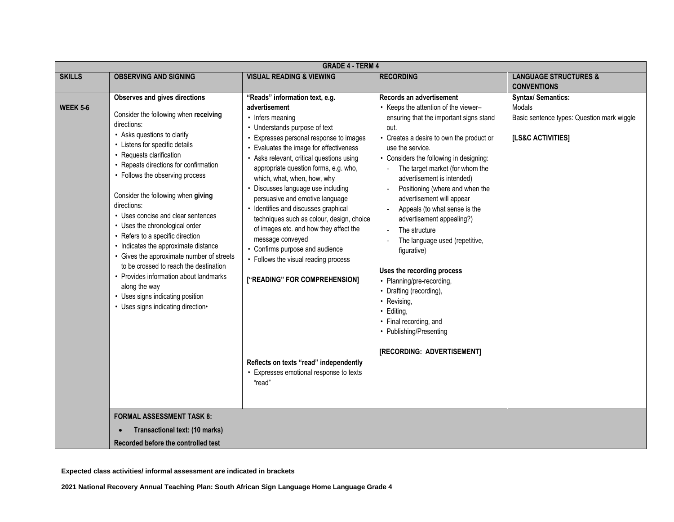|                 | <b>GRADE 4 - TERM 4</b>                                                                                                                                                                                                                                                                                                                                                                                                                                                                                                                                                                                                                                                                                    |                                                                                                                                                                                                                                                                                                                                                                                                                                                                                                                                                                                                                                                     |                                                                                                                                                                                                                                                                                                                                                                                                                                                                                                                                                                                                                                                                                                       |                                                                                                        |
|-----------------|------------------------------------------------------------------------------------------------------------------------------------------------------------------------------------------------------------------------------------------------------------------------------------------------------------------------------------------------------------------------------------------------------------------------------------------------------------------------------------------------------------------------------------------------------------------------------------------------------------------------------------------------------------------------------------------------------------|-----------------------------------------------------------------------------------------------------------------------------------------------------------------------------------------------------------------------------------------------------------------------------------------------------------------------------------------------------------------------------------------------------------------------------------------------------------------------------------------------------------------------------------------------------------------------------------------------------------------------------------------------------|-------------------------------------------------------------------------------------------------------------------------------------------------------------------------------------------------------------------------------------------------------------------------------------------------------------------------------------------------------------------------------------------------------------------------------------------------------------------------------------------------------------------------------------------------------------------------------------------------------------------------------------------------------------------------------------------------------|--------------------------------------------------------------------------------------------------------|
| <b>SKILLS</b>   | <b>OBSERVING AND SIGNING</b>                                                                                                                                                                                                                                                                                                                                                                                                                                                                                                                                                                                                                                                                               | <b>VISUAL READING &amp; VIEWING</b>                                                                                                                                                                                                                                                                                                                                                                                                                                                                                                                                                                                                                 | <b>RECORDING</b>                                                                                                                                                                                                                                                                                                                                                                                                                                                                                                                                                                                                                                                                                      | <b>LANGUAGE STRUCTURES &amp;</b>                                                                       |
|                 |                                                                                                                                                                                                                                                                                                                                                                                                                                                                                                                                                                                                                                                                                                            |                                                                                                                                                                                                                                                                                                                                                                                                                                                                                                                                                                                                                                                     |                                                                                                                                                                                                                                                                                                                                                                                                                                                                                                                                                                                                                                                                                                       | <b>CONVENTIONS</b>                                                                                     |
| <b>WEEK 5-6</b> | <b>Observes and gives directions</b><br>Consider the following when receiving<br>directions:<br>• Asks questions to clarify<br>• Listens for specific details<br>• Requests clarification<br>• Repeats directions for confirmation<br>• Follows the observing process<br>Consider the following when giving<br>directions:<br>• Uses concise and clear sentences<br>• Uses the chronological order<br>• Refers to a specific direction<br>• Indicates the approximate distance<br>• Gives the approximate number of streets<br>to be crossed to reach the destination<br>• Provides information about landmarks<br>along the way<br>• Uses signs indicating position<br>• Uses signs indicating direction• | "Reads" information text, e.g.<br>advertisement<br>• Infers meaning<br>• Understands purpose of text<br>Expresses personal response to images<br>Evaluates the image for effectiveness<br>• Asks relevant, critical questions using<br>appropriate question forms, e.g. who,<br>which, what, when, how, why<br>• Discusses language use including<br>persuasive and emotive language<br>· Identifies and discusses graphical<br>techniques such as colour, design, choice<br>of images etc. and how they affect the<br>message conveyed<br>• Confirms purpose and audience<br>• Follows the visual reading process<br>["READING" FOR COMPREHENSION] | Records an advertisement<br>• Keeps the attention of the viewer-<br>ensuring that the important signs stand<br>out.<br>• Creates a desire to own the product or<br>use the service.<br>• Considers the following in designing:<br>The target market (for whom the<br>advertisement is intended)<br>Positioning (where and when the<br>advertisement will appear<br>Appeals (to what sense is the<br>advertisement appealing?)<br>The structure<br>The language used (repetitive,<br>figurative)<br>Uses the recording process<br>• Planning/pre-recording,<br>• Drafting (recording),<br>• Revising,<br>· Editing,<br>• Final recording, and<br>• Publishing/Presenting<br>[RECORDING: ADVERTISEMENT] | <b>Syntax/ Semantics:</b><br>Modals<br>Basic sentence types: Question mark wiggle<br>[LS&C ACTIVITIES] |
|                 | <b>FORMAL ASSESSMENT TASK 8:</b><br>Transactional text: (10 marks)<br>$\bullet$                                                                                                                                                                                                                                                                                                                                                                                                                                                                                                                                                                                                                            | Reflects on texts "read" independently<br>Expresses emotional response to texts<br>"read"                                                                                                                                                                                                                                                                                                                                                                                                                                                                                                                                                           |                                                                                                                                                                                                                                                                                                                                                                                                                                                                                                                                                                                                                                                                                                       |                                                                                                        |
|                 | Recorded before the controlled test                                                                                                                                                                                                                                                                                                                                                                                                                                                                                                                                                                                                                                                                        |                                                                                                                                                                                                                                                                                                                                                                                                                                                                                                                                                                                                                                                     |                                                                                                                                                                                                                                                                                                                                                                                                                                                                                                                                                                                                                                                                                                       |                                                                                                        |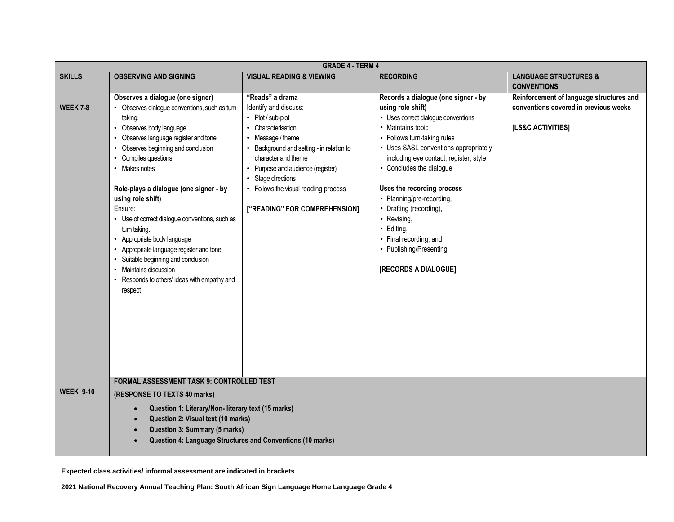| <b>SKILLS</b>                           | <b>OBSERVING AND SIGNING</b>                                                                                                                                                                                                                                                                                                                                                                                                                                                                                                                                                         | <b>VISUAL READING &amp; VIEWING</b>                                                                                                                                                                                                                                                                              | <b>RECORDING</b>                                                                                                                                                                                                                                                                                                                                                                                                                                                   | <b>LANGUAGE STRUCTURES &amp;</b>                                                                       |
|-----------------------------------------|--------------------------------------------------------------------------------------------------------------------------------------------------------------------------------------------------------------------------------------------------------------------------------------------------------------------------------------------------------------------------------------------------------------------------------------------------------------------------------------------------------------------------------------------------------------------------------------|------------------------------------------------------------------------------------------------------------------------------------------------------------------------------------------------------------------------------------------------------------------------------------------------------------------|--------------------------------------------------------------------------------------------------------------------------------------------------------------------------------------------------------------------------------------------------------------------------------------------------------------------------------------------------------------------------------------------------------------------------------------------------------------------|--------------------------------------------------------------------------------------------------------|
|                                         |                                                                                                                                                                                                                                                                                                                                                                                                                                                                                                                                                                                      |                                                                                                                                                                                                                                                                                                                  |                                                                                                                                                                                                                                                                                                                                                                                                                                                                    | <b>CONVENTIONS</b>                                                                                     |
| <b>WEEK 7-8</b><br>Ensure:<br>$\bullet$ | Observes a dialogue (one signer)<br>Observes dialogue conventions, such as turn<br>taking.<br>• Observes body language<br>• Observes language register and tone.<br>• Observes beginning and conclusion<br>• Compiles questions<br>• Makes notes<br>Role-plays a dialogue (one signer - by<br>using role shift)<br>• Use of correct dialogue conventions, such as<br>turn taking.<br>• Appropriate body language<br>• Appropriate language register and tone<br>Suitable beginning and conclusion<br>• Maintains discussion<br>Responds to others' ideas with empathy and<br>respect | "Reads" a drama<br>Identify and discuss:<br>• Plot / sub-plot<br>• Characterisation<br>• Message / theme<br>• Background and setting - in relation to<br>character and theme<br>• Purpose and audience (register)<br>• Stage directions<br>• Follows the visual reading process<br>["READING" FOR COMPREHENSION] | Records a dialogue (one signer - by<br>using role shift)<br>• Uses correct dialogue conventions<br>• Maintains topic<br>• Follows turn-taking rules<br>• Uses SASL conventions appropriately<br>including eye contact, register, style<br>• Concludes the dialogue<br>Uses the recording process<br>• Planning/pre-recording,<br>• Drafting (recording),<br>• Revising,<br>· Editing,<br>• Final recording, and<br>• Publishing/Presenting<br>[RECORDS A DIALOGUE] | Reinforcement of language structures and<br>conventions covered in previous weeks<br>[LS&C ACTIVITIES] |
| <b>WEEK 9-10</b>                        | <b>FORMAL ASSESSMENT TASK 9: CONTROLLED TEST</b><br>(RESPONSE TO TEXTS 40 marks)<br>Question 1: Literary/Non- literary text (15 marks)<br>Question 2: Visual text (10 marks)<br>Question 3: Summary (5 marks)<br>Question 4: Language Structures and Conventions (10 marks)                                                                                                                                                                                                                                                                                                          |                                                                                                                                                                                                                                                                                                                  |                                                                                                                                                                                                                                                                                                                                                                                                                                                                    |                                                                                                        |